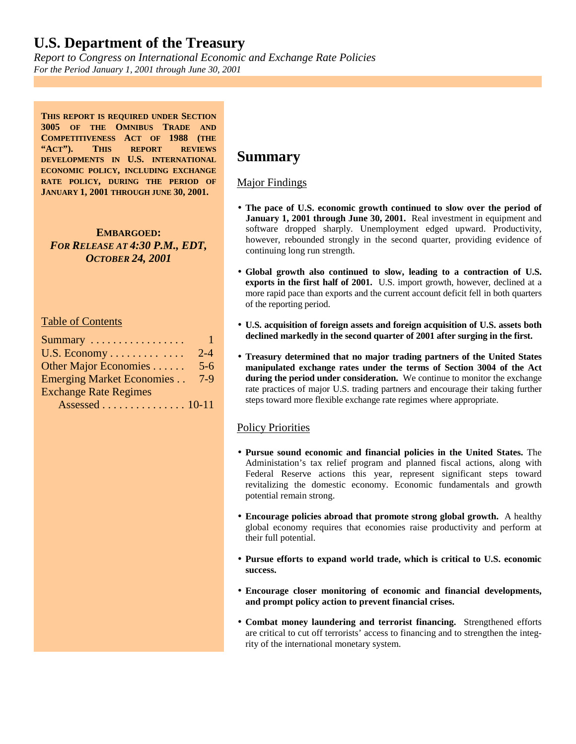*Report to Congress on International Economic and Exchange Rate Policies For the Period January 1, 2001 through June 30, 2001*

**THIS REPORT IS REQUIRED UNDER SECTION 3005 OF THE OMNIBUS TRADE AND COMPETITIVENESS ACT OF 1988 (THE "ACT"). THIS REPORT REVIEWS DEVELOPMENTS IN U.S. INTERNATIONAL ECONOMIC POLICY, INCLUDING EXCHANGE RATE POLICY, DURING THE PERIOD OF JANUARY 1, 2001 THROUGH JUNE 30, 2001.**

**EMBARGOED:** *FOR RELEASE AT 4:30 P.M., EDT, OCTOBER 24, 2001*

#### Table of Contents

| Summary                          | 1       |
|----------------------------------|---------|
| U.S. Economy                     | $2 - 4$ |
| Other Major Economies            | $5 - 6$ |
| <b>Emerging Market Economies</b> | $7-9$   |
| <b>Exchange Rate Regimes</b>     |         |
| Assessed 10-11                   |         |

### **Summary**

#### Major Findings

- **The pace of U.S. economic growth continued to slow over the period of January 1, 2001 through June 30, 2001.** Real investment in equipment and software dropped sharply. Unemployment edged upward. Productivity, however, rebounded strongly in the second quarter, providing evidence of continuing long run strength.
- **Global growth also continued to slow, leading to a contraction of U.S. exports in the first half of 2001.** U.S. import growth, however, declined at a more rapid pace than exports and the current account deficit fell in both quarters of the reporting period.
- **U.S. acquisition of foreign assets and foreign acquisition of U.S. assets both declined markedly in the second quarter of 2001 after surging in the first.**
- **Treasury determined that no major trading partners of the United States manipulated exchange rates under the terms of Section 3004 of the Act during the period under consideration.** We continue to monitor the exchange rate practices of major U.S. trading partners and encourage their taking further steps toward more flexible exchange rate regimes where appropriate.

### Policy Priorities

- **Pursue sound economic and financial policies in the United States.** The Administation's tax relief program and planned fiscal actions, along with Federal Reserve actions this year, represent significant steps toward revitalizing the domestic economy. Economic fundamentals and growth potential remain strong.
- **Encourage policies abroad that promote strong global growth.** A healthy global economy requires that economies raise productivity and perform at their full potential.
- **Pursue efforts to expand world trade, which is critical to U.S. economic success.**
- **Encourage closer monitoring of economic and financial developments, and prompt policy action to prevent financial crises.**
- **Combat money laundering and terrorist financing.** Strengthened efforts are critical to cut off terrorists' access to financing and to strengthen the integrity of the international monetary system.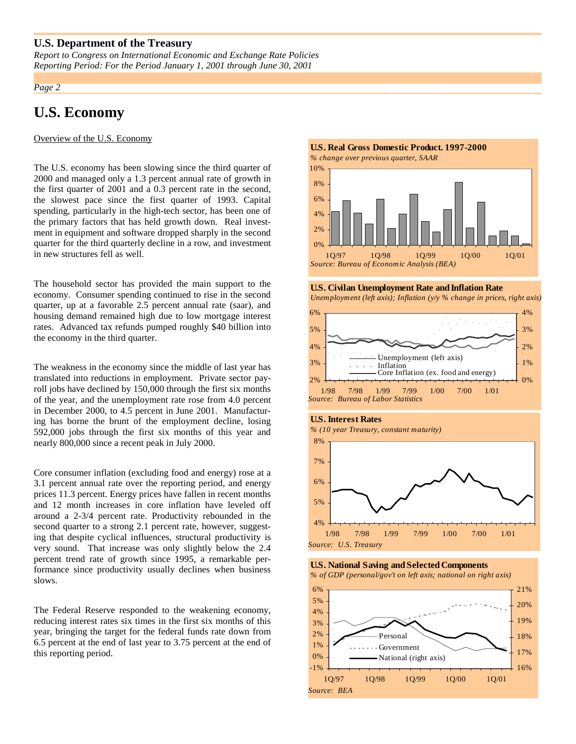*Report to Congress on International Economic and Exchange Rate Policies Reporting Period: For the Period January 1, 2001 through June 30, 2001*

#### *Page 2*

# **U.S. Economy**

Overview of the U.S. Economy

The U.S. economy has been slowing since the third quarter of 2000 and managed only a 1.3 percent annual rate of growth in the first quarter of 2001 and a 0.3 percent rate in the second, the slowest pace since the first quarter of 1993. Capital spending, particularly in the high-tech sector, has been one of the primary factors that has held growth down. Real investment in equipment and software dropped sharply in the second quarter for the third quarterly decline in a row, and investment in new structures fell as well.

The household sector has provided the main support to the economy. Consumer spending continued to rise in the second quarter, up at a favorable 2.5 percent annual rate (saar), and housing demand remained high due to low mortgage interest rates. Advanced tax refunds pumped roughly \$40 billion into the economy in the third quarter.

The weakness in the economy since the middle of last year has translated into reductions in employment. Private sector payroll jobs have declined by 150,000 through the first six months of the year, and the unemployment rate rose from 4.0 percent in December 2000, to 4.5 percent in June 2001. Manufacturing has borne the brunt of the employment decline, losing 592,000 jobs through the first six months of this year and nearly 800,000 since a recent peak in July 2000.

Core consumer inflation (excluding food and energy) rose at a 3.1 percent annual rate over the reporting period, and energy prices 11.3 percent. Energy prices have fallen in recent months and 12 month increases in core inflation have leveled off around a 2-3/4 percent rate. Productivity rebounded in the second quarter to a strong 2.1 percent rate, however, suggesting that despite cyclical influences, structural productivity is very sound. That increase was only slightly below the 2.4 percent trend rate of growth since 1995, a remarkable performance since productivity usually declines when business slows.

The Federal Reserve responded to the weakening economy, reducing interest rates six times in the first six months of this year, bringing the target for the federal funds rate down from 6.5 percent at the end of last year to 3.75 percent at the end of this reporting period.

### **U.S. Real Gross Domestic Product. 1997-2000**

*% change over previous quarter, SAAR*



**U.S. Civilan Unemployment Rate and Inflation Rate**





#### **U.S. Interest Rates**





*% of GDP (personal/gov't on left axis; national on right axis)*

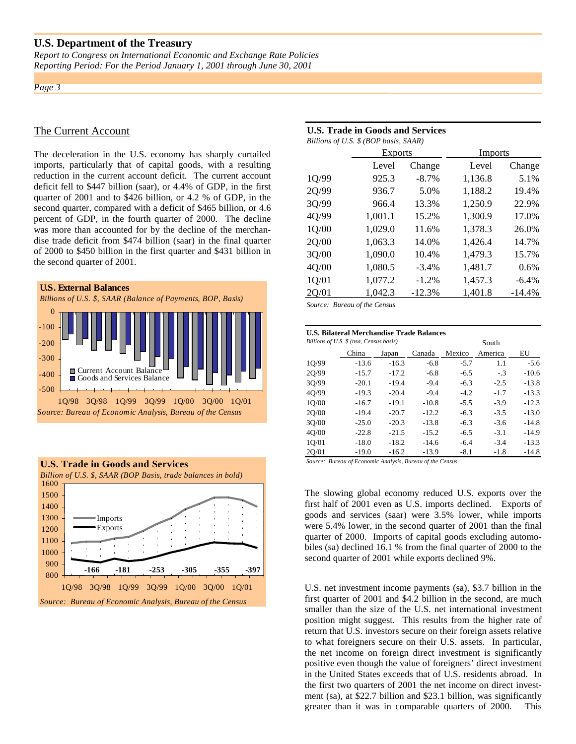*Report to Congress on International Economic and Exchange Rate Policies Reporting Period: For the Period January 1, 2001 through June 30, 2001*

*Page 3*

#### The Current Account

The deceleration in the U.S. economy has sharply curtailed imports, particularly that of capital goods, with a resulting reduction in the current account deficit. The current account deficit fell to \$447 billion (saar), or 4.4% of GDP, in the first quarter of 2001 and to \$426 billion, or 4.2 % of GDP, in the second quarter, compared with a deficit of \$465 billion, or 4.6 percent of GDP, in the fourth quarter of 2000. The decline was more than accounted for by the decline of the merchandise trade deficit from \$474 billion (saar) in the final quarter of 2000 to \$450 billion in the first quarter and \$431 billion in the second quarter of 2001.





#### **U.S. Trade in Goods and Services** *Billions of U.S. \$ (BOP basis, SAAR)*

| $P(0,0)$ of $\theta$ , $\theta$ ( $\theta$ of $\theta$ ) $\theta$ and $\theta$ |                |          |                |          |  |  |  |  |
|--------------------------------------------------------------------------------|----------------|----------|----------------|----------|--|--|--|--|
|                                                                                | <b>Exports</b> |          | <b>Imports</b> |          |  |  |  |  |
|                                                                                | Level          | Change   | Level          | Change   |  |  |  |  |
| 1Q/99                                                                          | 925.3          | $-8.7\%$ | 1,136.8        | 5.1%     |  |  |  |  |
| 2Q/99                                                                          | 936.7          | 5.0%     | 1,188.2        | 19.4%    |  |  |  |  |
| 3Q/99                                                                          | 966.4          | 13.3%    | 1,250.9        | 22.9%    |  |  |  |  |
| 4Q/99                                                                          | 1,001.1        | 15.2%    | 1,300.9        | 17.0%    |  |  |  |  |
| 1Q/00                                                                          | 1,029.0        | 11.6%    | 1,378.3        | 26.0%    |  |  |  |  |
| 2Q/00                                                                          | 1,063.3        | 14.0%    | 1,426.4        | 14.7%    |  |  |  |  |
| 3Q/00                                                                          | 1,090.0        | 10.4%    | 1,479.3        | 15.7%    |  |  |  |  |
| 4Q/00                                                                          | 1,080.5        | $-3.4%$  | 1,481.7        | 0.6%     |  |  |  |  |
| 1Q/01                                                                          | 1,077.2        | $-1.2%$  | 1,457.3        | $-6.4%$  |  |  |  |  |
| 20/01                                                                          | 1,042.3        | $-12.3%$ | 1,401.8        | $-14.4%$ |  |  |  |  |
|                                                                                |                |          |                |          |  |  |  |  |

*Source: Bureau of the Census*

| U.S. Bilateral Merchandise Trade Balances |                                         |         |         |        |         |         |  |
|-------------------------------------------|-----------------------------------------|---------|---------|--------|---------|---------|--|
|                                           | Billions of U.S. \$ (nsa, Census basis) |         |         | South  |         |         |  |
|                                           | China                                   | Japan   | Canada  | Mexico | America | EU      |  |
| 10/99                                     | $-13.6$                                 | $-16.3$ | $-6.8$  | $-5.7$ | 1.1     | $-5.6$  |  |
| 2Q/99                                     | $-15.7$                                 | $-17.2$ | $-6.8$  | $-6.5$ | $-3$    | $-10.6$ |  |
| 30/99                                     | $-20.1$                                 | $-19.4$ | $-9.4$  | $-6.3$ | $-2.5$  | $-13.8$ |  |
| 4Q/99                                     | $-19.3$                                 | $-20.4$ | $-9.4$  | $-4.2$ | $-1.7$  | $-13.3$ |  |
| 1O/00                                     | $-16.7$                                 | $-19.1$ | $-10.8$ | $-5.5$ | $-3.9$  | $-12.3$ |  |
| 20/00                                     | $-19.4$                                 | $-20.7$ | $-12.2$ | $-6.3$ | $-3.5$  | $-13.0$ |  |
| 30/00                                     | $-25.0$                                 | $-20.3$ | $-13.8$ | $-6.3$ | $-3.6$  | $-14.8$ |  |
| 40/00                                     | $-22.8$                                 | $-21.5$ | $-15.2$ | $-6.5$ | $-3.1$  | $-14.9$ |  |
| 1Q/01                                     | $-18.0$                                 | $-18.2$ | $-14.6$ | $-6.4$ | $-3.4$  | $-13.3$ |  |
| 2Q/01                                     | $-19.0$                                 | $-16.2$ | $-13.9$ | $-8.1$ | $-1.8$  | $-14.8$ |  |

*Source: Bureau of Economic Analysis, Bureau of the Census* 

The slowing global economy reduced U.S. exports over the first half of 2001 even as U.S. imports declined. Exports of goods and services (saar) were 3.5% lower, while imports were 5.4% lower, in the second quarter of 2001 than the final quarter of 2000. Imports of capital goods excluding automobiles (sa) declined 16.1 % from the final quarter of 2000 to the second quarter of 2001 while exports declined 9%.

U.S. net investment income payments (sa), \$3.7 billion in the first quarter of 2001 and \$4.2 billion in the second, are much smaller than the size of the U.S. net international investment position might suggest. This results from the higher rate of return that U.S. investors secure on their foreign assets relative to what foreigners secure on their U.S. assets. In particular, the net income on foreign direct investment is significantly positive even though the value of foreigners' direct investment in the United States exceeds that of U.S. residents abroad. In the first two quarters of 2001 the net income on direct investment (sa), at \$22.7 billion and \$23.1 billion, was significantly greater than it was in comparable quarters of 2000. This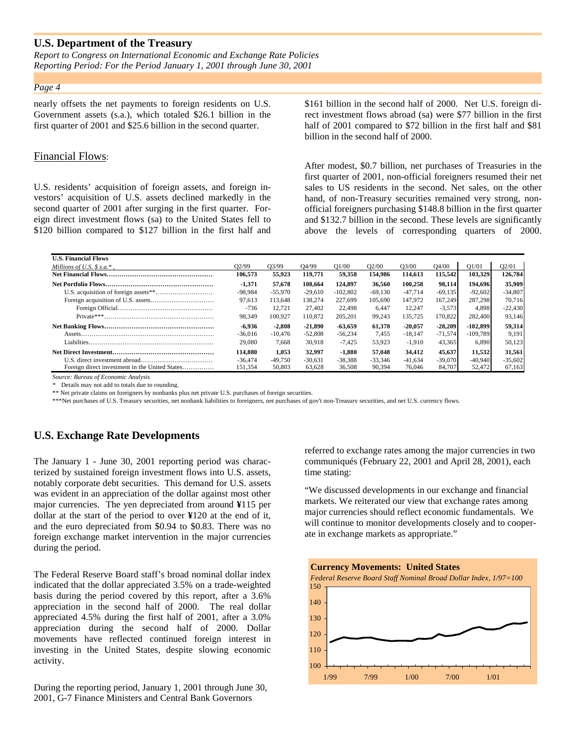*Report to Congress on International Economic and Exchange Rate Policies Reporting Period: For the Period January 1, 2001 through June 30, 2001*

#### *Page 4*

nearly offsets the net payments to foreign residents on U.S. Government assets (s.a.), which totaled \$26.1 billion in the first quarter of 2001 and \$25.6 billion in the second quarter.

#### Financial Flows:

U.S. residents' acquisition of foreign assets, and foreign investors' acquisition of U.S. assets declined markedly in the second quarter of 2001 after surging in the first quarter. Foreign direct investment flows (sa) to the United States fell to \$120 billion compared to \$127 billion in the first half and \$161 billion in the second half of 2000. Net U.S. foreign direct investment flows abroad (sa) were \$77 billion in the first half of 2001 compared to \$72 billion in the first half and \$81 billion in the second half of 2000.

After modest, \$0.7 billion, net purchases of Treasuries in the first quarter of 2001, non-official foreigners resumed their net sales to US residents in the second. Net sales, on the other hand, of non-Treasury securities remained very strong, nonofficial foreigners purchasing \$148.8 billion in the first quarter and \$132.7 billion in the second. These levels are significantly above the levels of corresponding quarters of 2000.

| <b>U.S. Financial Flows</b>                    |                    |           |                    |            |           |                    |           |            |                                |
|------------------------------------------------|--------------------|-----------|--------------------|------------|-----------|--------------------|-----------|------------|--------------------------------|
| Millions of U.S. $\$$ s.a.*.                   | O <sub>2</sub> /99 | 03/99     | O <sub>4</sub> /99 | O1/00      | O2/00     | O <sub>3</sub> /00 | O4/00     | O1/01      | O <sub>2</sub> /O <sub>1</sub> |
|                                                | 106.573            | 55.923    | 119,771            | 59,358     | 154.986   | 114.613            | 115.542   | 103.329    | 126,784                        |
|                                                | -1.371             | 57,678    | 108.664            | 124.897    | 36.560    | 100.258            | 98.114    | 194.696    | 35,909                         |
|                                                | $-98.984$          | $-55.970$ | $-29.610$          | $-102.802$ | $-69.130$ | $-47.714$          | $-69.135$ | $-92,602$  | $-34,807$                      |
|                                                | 97.613             | 113,648   | 138.274            | 227,699    | 105.690   | 147.972            | 167.249   | 287.298    | 70.716                         |
|                                                | -736               | 12.721    | 27,402             | 22,498     | 6.447     | 12.247             | $-3,573$  | 4.898      | $-22,430$                      |
|                                                | 98.349             | 100.927   | 110,872            | 205.201    | 99,243    | 135.725            | 170,822   | 282,400    | 93,146                         |
|                                                | $-6.936$           | $-2.808$  | $-21.890$          | $-63.659$  | 61.378    | $-20.057$          | $-28.209$ | $-102.899$ | 59,314                         |
|                                                | $-36,016$          | $-10,476$ | $-52.808$          | $-56.234$  | 7.455     | $-18.147$          | $-71.574$ | $-109.789$ | 9.191                          |
|                                                | 29,080             | 7.668     | 30.918             | $-7.425$   | 53,923    | $-1.910$           | 43,365    | 6.890      | 50,123                         |
|                                                | 114.880            | 1.053     | 32.997             | $-1.880$   | 57,048    | 34.412             | 45.637    | 11.532     | 31,561                         |
|                                                | $-36.474$          | $-49.750$ | $-30.631$          | $-38.388$  | $-33.346$ | $-41.634$          | $-39.070$ | $-40.940$  | $-35,602$                      |
| Foreign direct investment in the United States | 151.354            | 50,803    | 63.628             | 36,508     | 90,394    | 76,046             | 84,707    | 52,472     | 67,163                         |

*Source: Bureau of Economic Analysis*

*\** Details may not add to totals due to rounding.

\*\* Net private claims on foreigners by nonbanks plus net private U.S. purchases of foreign securities.

\*\*\*Net purchases of U.S. Treasury securities, net nonbank liabilities to foreigners, net purchases of gov't non-Treasury securities, and net U.S. currency flows.

#### **U.S. Exchange Rate Developments**

The January 1 - June 30, 2001 reporting period was characterized by sustained foreign investment flows into U.S. assets, notably corporate debt securities. This demand for U.S. assets was evident in an appreciation of the dollar against most other major currencies. The yen depreciated from around **¥**115 per dollar at the start of the period to over **¥**120 at the end of it, and the euro depreciated from \$0.94 to \$0.83. There was no foreign exchange market intervention in the major currencies during the period.

The Federal Reserve Board staff's broad nominal dollar index indicated that the dollar appreciated 3.5% on a trade-weighted basis during the period covered by this report, after a 3.6% appreciation in the second half of 2000. The real dollar appreciated 4.5% during the first half of 2001, after a 3.0% appreciation during the second half of 2000. Dollar movements have reflected continued foreign interest in investing in the United States, despite slowing economic activity.

During the reporting period, January 1, 2001 through June 30, 2001, G-7 Finance Ministers and Central Bank Governors

referred to exchange rates among the major currencies in two communiqués (February 22, 2001 and April 28, 2001), each time stating:

"We discussed developments in our exchange and financial markets. We reiterated our view that exchange rates among major currencies should reflect economic fundamentals. We will continue to monitor developments closely and to cooperate in exchange markets as appropriate."

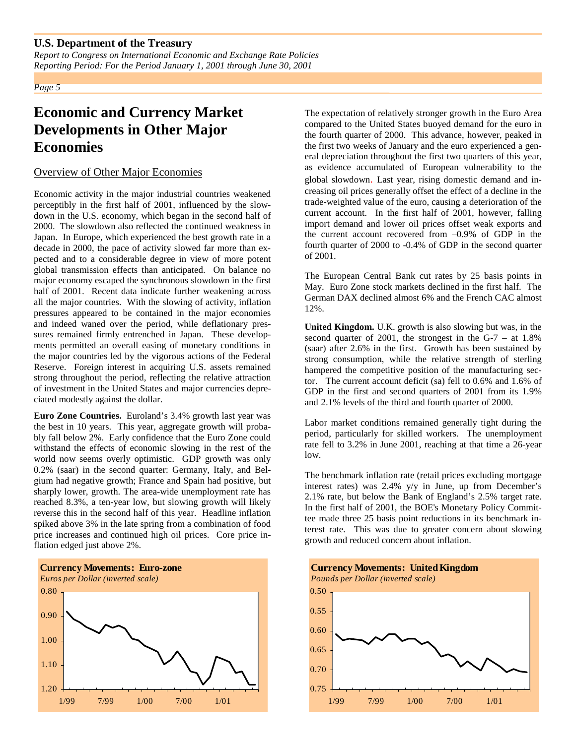*Report to Congress on International Economic and Exchange Rate Policies Reporting Period: For the Period January 1, 2001 through June 30, 2001*

*Page 5*

# **Economic and Currency Market Developments in Other Major Economies**

#### Overview of Other Major Economies

Economic activity in the major industrial countries weakened perceptibly in the first half of 2001, influenced by the slowdown in the U.S. economy, which began in the second half of 2000. The slowdown also reflected the continued weakness in Japan. In Europe, which experienced the best growth rate in a decade in 2000, the pace of activity slowed far more than expected and to a considerable degree in view of more potent global transmission effects than anticipated. On balance no major economy escaped the synchronous slowdown in the first half of 2001. Recent data indicate further weakening across all the major countries. With the slowing of activity, inflation pressures appeared to be contained in the major economies and indeed waned over the period, while deflationary pressures remained firmly entrenched in Japan. These developments permitted an overall easing of monetary conditions in the major countries led by the vigorous actions of the Federal Reserve. Foreign interest in acquiring U.S. assets remained strong throughout the period, reflecting the relative attraction of investment in the United States and major currencies depreciated modestly against the dollar.

**Euro Zone Countries.** Euroland's 3.4% growth last year was the best in 10 years. This year, aggregate growth will probably fall below 2%. Early confidence that the Euro Zone could withstand the effects of economic slowing in the rest of the world now seems overly optimistic. GDP growth was only 0.2% (saar) in the second quarter: Germany, Italy, and Belgium had negative growth; France and Spain had positive, but sharply lower, growth. The area-wide unemployment rate has reached 8.3%, a ten-year low, but slowing growth will likely reverse this in the second half of this year. Headline inflation spiked above 3% in the late spring from a combination of food price increases and continued high oil prices. Core price inflation edged just above 2%.



The expectation of relatively stronger growth in the Euro Area compared to the United States buoyed demand for the euro in the fourth quarter of 2000. This advance, however, peaked in the first two weeks of January and the euro experienced a general depreciation throughout the first two quarters of this year, as evidence accumulated of European vulnerability to the global slowdown. Last year, rising domestic demand and increasing oil prices generally offset the effect of a decline in the trade-weighted value of the euro, causing a deterioration of the current account. In the first half of 2001, however, falling import demand and lower oil prices offset weak exports and the current account recovered from –0.9% of GDP in the fourth quarter of 2000 to -0.4% of GDP in the second quarter of 2001.

The European Central Bank cut rates by 25 basis points in May. Euro Zone stock markets declined in the first half. The German DAX declined almost 6% and the French CAC almost 12%.

**United Kingdom.** U.K. growth is also slowing but was, in the second quarter of 2001, the strongest in the G-7 – at 1.8% (saar) after 2.6% in the first. Growth has been sustained by strong consumption, while the relative strength of sterling hampered the competitive position of the manufacturing sector. The current account deficit (sa) fell to 0.6% and 1.6% of GDP in the first and second quarters of 2001 from its 1.9% and 2.1% levels of the third and fourth quarter of 2000.

Labor market conditions remained generally tight during the period, particularly for skilled workers. The unemployment rate fell to 3.2% in June 2001, reaching at that time a 26-year low.

The benchmark inflation rate (retail prices excluding mortgage interest rates) was 2.4% y/y in June, up from December's 2.1% rate, but below the Bank of England's 2.5% target rate. In the first half of 2001, the BOE's Monetary Policy Committee made three 25 basis point reductions in its benchmark interest rate. This was due to greater concern about slowing growth and reduced concern about inflation.

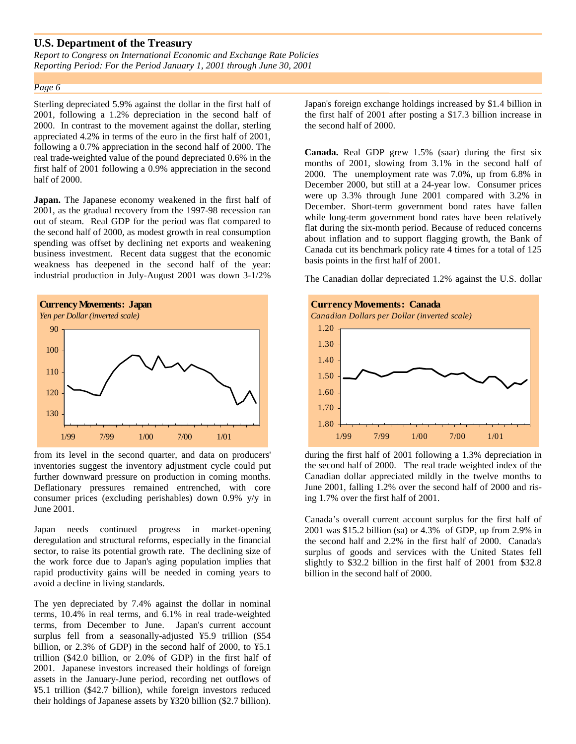*Report to Congress on International Economic and Exchange Rate Policies Reporting Period: For the Period January 1, 2001 through June 30, 2001*

#### *Page 6*

Sterling depreciated 5.9% against the dollar in the first half of 2001, following a 1.2% depreciation in the second half of 2000. In contrast to the movement against the dollar, sterling appreciated 4.2% in terms of the euro in the first half of 2001, following a 0.7% appreciation in the second half of 2000. The real trade-weighted value of the pound depreciated 0.6% in the first half of 2001 following a 0.9% appreciation in the second half of 2000.

**Japan.** The Japanese economy weakened in the first half of 2001, as the gradual recovery from the 1997-98 recession ran out of steam. Real GDP for the period was flat compared to the second half of 2000, as modest growth in real consumption spending was offset by declining net exports and weakening business investment. Recent data suggest that the economic weakness has deepened in the second half of the year: industrial production in July-August 2001 was down 3-1/2%



from its level in the second quarter, and data on producers' inventories suggest the inventory adjustment cycle could put further downward pressure on production in coming months. Deflationary pressures remained entrenched, with core consumer prices (excluding perishables) down 0.9% y/y in June 2001.

Japan needs continued progress in market-opening deregulation and structural reforms, especially in the financial sector, to raise its potential growth rate. The declining size of the work force due to Japan's aging population implies that rapid productivity gains will be needed in coming years to avoid a decline in living standards.

The yen depreciated by 7.4% against the dollar in nominal terms, 10.4% in real terms, and 6.1% in real trade-weighted terms, from December to June. Japan's current account surplus fell from a seasonally-adjusted ¥5.9 trillion (\$54 billion, or 2.3% of GDP) in the second half of 2000, to ¥5.1 trillion (\$42.0 billion, or 2.0% of GDP) in the first half of 2001. Japanese investors increased their holdings of foreign assets in the January-June period, recording net outflows of ¥5.1 trillion (\$42.7 billion), while foreign investors reduced their holdings of Japanese assets by ¥320 billion (\$2.7 billion). Japan's foreign exchange holdings increased by \$1.4 billion in the first half of 2001 after posting a \$17.3 billion increase in the second half of 2000.

**Canada.** Real GDP grew 1.5% (saar) during the first six months of 2001, slowing from 3.1% in the second half of 2000. The unemployment rate was 7.0%, up from 6.8% in December 2000, but still at a 24-year low. Consumer prices were up 3.3% through June 2001 compared with 3.2% in December. Short-term government bond rates have fallen while long-term government bond rates have been relatively flat during the six-month period. Because of reduced concerns about inflation and to support flagging growth, the Bank of Canada cut its benchmark policy rate 4 times for a total of 125 basis points in the first half of 2001.

The Canadian dollar depreciated 1.2% against the U.S. dollar



during the first half of 2001 following a 1.3% depreciation in the second half of 2000. The real trade weighted index of the Canadian dollar appreciated mildly in the twelve months to June 2001, falling 1.2% over the second half of 2000 and rising 1.7% over the first half of 2001.

Canada's overall current account surplus for the first half of 2001 was \$15.2 billion (sa) or 4.3% of GDP, up from 2.9% in the second half and 2.2% in the first half of 2000. Canada's surplus of goods and services with the United States fell slightly to \$32.2 billion in the first half of 2001 from \$32.8 billion in the second half of 2000.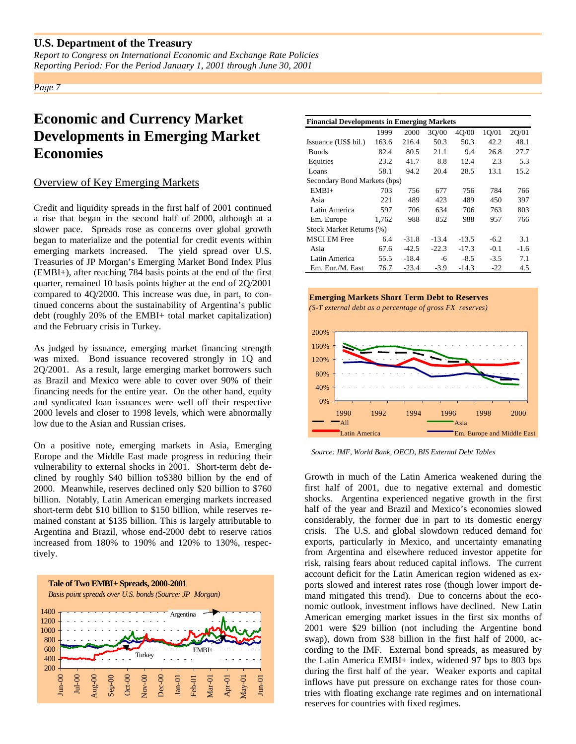*Report to Congress on International Economic and Exchange Rate Policies Reporting Period: For the Period January 1, 2001 through June 30, 2001*

*Page 7*

# **Economic and Currency Market Developments in Emerging Market Economies**

### Overview of Key Emerging Markets

Credit and liquidity spreads in the first half of 2001 continued a rise that began in the second half of 2000, although at a slower pace. Spreads rose as concerns over global growth began to materialize and the potential for credit events within emerging markets increased. The yield spread over U.S. Treasuries of JP Morgan's Emerging Market Bond Index Plus (EMBI+), after reaching 784 basis points at the end of the first quarter, remained 10 basis points higher at the end of 2Q/2001 compared to 4Q/2000. This increase was due, in part, to continued concerns about the sustainability of Argentina's public debt (roughly 20% of the EMBI+ total market capitalization) and the February crisis in Turkey.

As judged by issuance, emerging market financing strength was mixed. Bond issuance recovered strongly in 1Q and 2Q/2001. As a result, large emerging market borrowers such as Brazil and Mexico were able to cover over 90% of their financing needs for the entire year. On the other hand, equity and syndicated loan issuances were well off their respective 2000 levels and closer to 1998 levels, which were abnormally low due to the Asian and Russian crises.

On a positive note, emerging markets in Asia, Emerging Europe and the Middle East made progress in reducing their vulnerability to external shocks in 2001. Short-term debt declined by roughly \$40 billion to\$380 billion by the end of 2000. Meanwhile, reserves declined only \$20 billion to \$760 billion. Notably, Latin American emerging markets increased short-term debt \$10 billion to \$150 billion, while reserves remained constant at \$135 billion. This is largely attributable to Argentina and Brazil, whose end-2000 debt to reserve ratios increased from 180% to 190% and 120% to 130%, respectively.



| <b>Financial Developments in Emerging Markets</b> |       |         |         |         |        |        |  |  |  |
|---------------------------------------------------|-------|---------|---------|---------|--------|--------|--|--|--|
|                                                   | 1999  | 2000    | 30/00   | 4Q/00   | 1Q/01  | 2Q/01  |  |  |  |
| Issuance (US\$ bil.)                              | 163.6 | 216.4   | 50.3    | 50.3    | 42.2   | 48.1   |  |  |  |
| <b>Bonds</b>                                      | 82.4  | 80.5    | 21.1    | 9.4     | 26.8   | 27.7   |  |  |  |
| Equities                                          | 23.2  | 41.7    | 8.8     | 12.4    | 2.3    | 5.3    |  |  |  |
| Loans                                             | 58.1  | 94.2    | 20.4    | 28.5    | 13.1   | 15.2   |  |  |  |
| Secondary Bond Markets (bps)                      |       |         |         |         |        |        |  |  |  |
| $EMBI+$                                           | 703   | 756     | 677     | 756     | 784    | 766    |  |  |  |
| Asia                                              | 221   | 489     | 423     | 489     | 450    | 397    |  |  |  |
| Latin America                                     | 597   | 706     | 634     | 706     | 763    | 803    |  |  |  |
| Em. Europe                                        | 1.762 | 988     | 852     | 988     | 957    | 766    |  |  |  |
| Stock Market Returns (%)                          |       |         |         |         |        |        |  |  |  |
| <b>MSCI EM Free</b>                               | 6.4   | $-31.8$ | $-13.4$ | $-13.5$ | $-6.2$ | 3.1    |  |  |  |
| Asia                                              | 67.6  | $-42.5$ | $-22.3$ | $-17.3$ | $-0.1$ | $-1.6$ |  |  |  |
| Latin America                                     | 55.5  | $-18.4$ | -6      | $-8.5$  | $-3.5$ | 7.1    |  |  |  |
| Em. Eur./M. East                                  | 76.7  | $-23.4$ | $-3.9$  | $-14.3$ | $-22$  | 4.5    |  |  |  |





*Source: IMF, World Bank, OECD, BIS External Debt Tables*

Growth in much of the Latin America weakened during the first half of 2001, due to negative external and domestic shocks. Argentina experienced negative growth in the first half of the year and Brazil and Mexico's economies slowed considerably, the former due in part to its domestic energy crisis. The U.S. and global slowdown reduced demand for exports, particularly in Mexico, and uncertainty emanating from Argentina and elsewhere reduced investor appetite for risk, raising fears about reduced capital inflows. The current account deficit for the Latin American region widened as exports slowed and interest rates rose (though lower import demand mitigated this trend). Due to concerns about the economic outlook, investment inflows have declined. New Latin American emerging market issues in the first six months of 2001 were \$29 billion (not including the Argentine bond swap), down from \$38 billion in the first half of 2000, according to the IMF. External bond spreads, as measured by the Latin America EMBI+ index, widened 97 bps to 803 bps during the first half of the year. Weaker exports and capital inflows have put pressure on exchange rates for those countries with floating exchange rate regimes and on international reserves for countries with fixed regimes.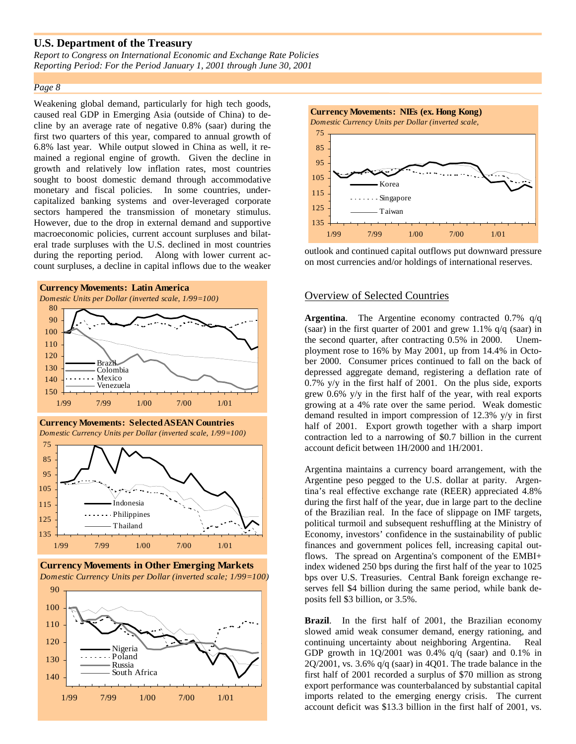*Report to Congress on International Economic and Exchange Rate Policies Reporting Period: For the Period January 1, 2001 through June 30, 2001*

#### *Page 8*

Weakening global demand, particularly for high tech goods, caused real GDP in Emerging Asia (outside of China) to decline by an average rate of negative 0.8% (saar) during the first two quarters of this year, compared to annual growth of 6.8% last year. While output slowed in China as well, it remained a regional engine of growth. Given the decline in growth and relatively low inflation rates, most countries sought to boost domestic demand through accommodative monetary and fiscal policies. In some countries, undercapitalized banking systems and over-leveraged corporate sectors hampered the transmission of monetary stimulus. However, due to the drop in external demand and supportive macroeconomic policies, current account surpluses and bilateral trade surpluses with the U.S. declined in most countries during the reporting period. Along with lower current account surpluses, a decline in capital inflows due to the weaker





**Currency Movements in Other Emerging Markets** *Domestic Currency Units per Dollar (inverted scale; 1/99=100)*





outlook and continued capital outflows put downward pressure on most currencies and/or holdings of international reserves.

#### Overview of Selected Countries

**Argentina**. The Argentine economy contracted 0.7% q/q (saar) in the first quarter of 2001 and grew  $1.1\%$  q/q (saar) in the second quarter, after contracting 0.5% in 2000. Unemployment rose to 16% by May 2001, up from 14.4% in October 2000. Consumer prices continued to fall on the back of depressed aggregate demand, registering a deflation rate of 0.7% y/y in the first half of 2001. On the plus side, exports grew 0.6% y/y in the first half of the year, with real exports growing at a 4% rate over the same period. Weak domestic demand resulted in import compression of 12.3% y/y in first half of 2001. Export growth together with a sharp import contraction led to a narrowing of \$0.7 billion in the current account deficit between 1H/2000 and 1H/2001.

Argentina maintains a currency board arrangement, with the Argentine peso pegged to the U.S. dollar at parity. Argentina's real effective exchange rate (REER) appreciated 4.8% during the first half of the year, due in large part to the decline of the Brazilian real. In the face of slippage on IMF targets, political turmoil and subsequent reshuffling at the Ministry of Economy, investors' confidence in the sustainability of public finances and government polices fell, increasing capital outflows. The spread on Argentina's component of the EMBI+ index widened 250 bps during the first half of the year to 1025 bps over U.S. Treasuries. Central Bank foreign exchange reserves fell \$4 billion during the same period, while bank deposits fell \$3 billion, or 3.5%.

**Brazil**. In the first half of 2001, the Brazilian economy slowed amid weak consumer demand, energy rationing, and continuing uncertainty about neighboring Argentina. Real GDP growth in  $1Q/2001$  was 0.4%  $q/q$  (saar) and 0.1% in  $2Q/2001$ , vs. 3.6%  $q/q$  (saar) in 4Q01. The trade balance in the first half of 2001 recorded a surplus of \$70 million as strong export performance was counterbalanced by substantial capital imports related to the emerging energy crisis. The current account deficit was \$13.3 billion in the first half of 2001, vs.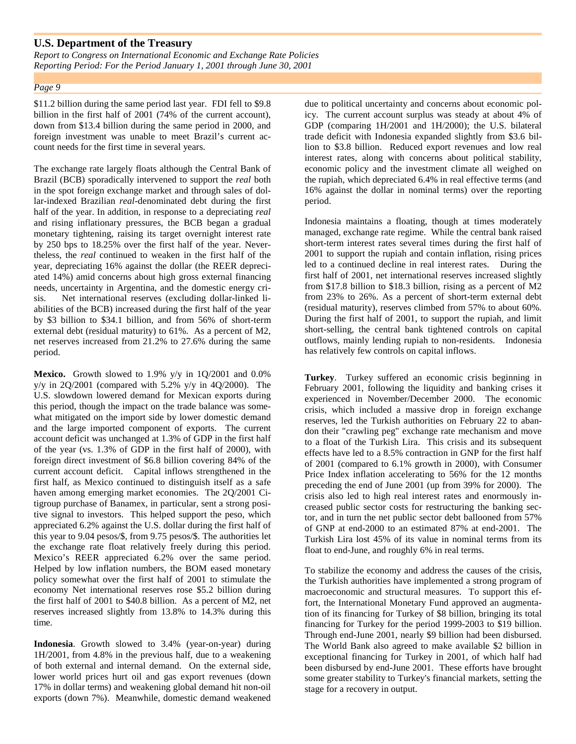*Report to Congress on International Economic and Exchange Rate Policies Reporting Period: For the Period January 1, 2001 through June 30, 2001*

#### *Page 9*

\$11.2 billion during the same period last year. FDI fell to \$9.8 billion in the first half of 2001 (74% of the current account), down from \$13.4 billion during the same period in 2000, and foreign investment was unable to meet Brazil's current account needs for the first time in several years.

The exchange rate largely floats although the Central Bank of Brazil (BCB) sporadically intervened to support the *real* both in the spot foreign exchange market and through sales of dollar-indexed Brazilian *real*-denominated debt during the first half of the year. In addition, in response to a depreciating *real* and rising inflationary pressures, the BCB began a gradual monetary tightening, raising its target overnight interest rate by 250 bps to 18.25% over the first half of the year. Nevertheless, the *real* continued to weaken in the first half of the year, depreciating 16% against the dollar (the REER depreciated 14%) amid concerns about high gross external financing needs, uncertainty in Argentina, and the domestic energy crisis. Net international reserves (excluding dollar-linked liabilities of the BCB) increased during the first half of the year by \$3 billion to \$34.1 billion, and from 56% of short-term external debt (residual maturity) to 61%. As a percent of M2, net reserves increased from 21.2% to 27.6% during the same period.

**Mexico.** Growth slowed to 1.9% y/y in 1Q/2001 and 0.0% y/y in  $2Q/2001$  (compared with 5.2% y/y in 4Q/2000). The U.S. slowdown lowered demand for Mexican exports during this period, though the impact on the trade balance was somewhat mitigated on the import side by lower domestic demand and the large imported component of exports. The current account deficit was unchanged at 1.3% of GDP in the first half of the year (vs. 1.3% of GDP in the first half of 2000), with foreign direct investment of \$6.8 billion covering 84% of the current account deficit. Capital inflows strengthened in the first half, as Mexico continued to distinguish itself as a safe haven among emerging market economies. The 2Q/2001 Citigroup purchase of Banamex, in particular, sent a strong positive signal to investors. This helped support the peso, which appreciated 6.2% against the U.S. dollar during the first half of this year to 9.04 pesos/\$, from 9.75 pesos/\$. The authorities let the exchange rate float relatively freely during this period. Mexico's REER appreciated 6.2% over the same period. Helped by low inflation numbers, the BOM eased monetary policy somewhat over the first half of 2001 to stimulate the economy Net international reserves rose \$5.2 billion during the first half of 2001 to \$40.8 billion. As a percent of M2, net reserves increased slightly from 13.8% to 14.3% during this time.

**Indonesia**. Growth slowed to 3.4% (year-on-year) during 1H/2001, from 4.8% in the previous half, due to a weakening of both external and internal demand. On the external side, lower world prices hurt oil and gas export revenues (down 17% in dollar terms) and weakening global demand hit non-oil exports (down 7%). Meanwhile, domestic demand weakened

due to political uncertainty and concerns about economic policy. The current account surplus was steady at about 4% of GDP (comparing 1H/2001 and 1H/2000); the U.S. bilateral trade deficit with Indonesia expanded slightly from \$3.6 billion to \$3.8 billion. Reduced export revenues and low real interest rates, along with concerns about political stability, economic policy and the investment climate all weighed on the rupiah, which depreciated 6.4% in real effective terms (and 16% against the dollar in nominal terms) over the reporting period.

Indonesia maintains a floating, though at times moderately managed, exchange rate regime. While the central bank raised short-term interest rates several times during the first half of 2001 to support the rupiah and contain inflation, rising prices led to a continued decline in real interest rates. During the first half of 2001, net international reserves increased slightly from \$17.8 billion to \$18.3 billion, rising as a percent of M2 from 23% to 26%. As a percent of short-term external debt (residual maturity), reserves climbed from 57% to about 60%. During the first half of 2001, to support the rupiah, and limit short-selling, the central bank tightened controls on capital outflows, mainly lending rupiah to non-residents. Indonesia has relatively few controls on capital inflows.

**Turkey**. Turkey suffered an economic crisis beginning in February 2001, following the liquidity and banking crises it experienced in November/December 2000. The economic crisis, which included a massive drop in foreign exchange reserves, led the Turkish authorities on February 22 to abandon their "crawling peg" exchange rate mechanism and move to a float of the Turkish Lira. This crisis and its subsequent effects have led to a 8.5% contraction in GNP for the first half of 2001 (compared to 6.1% growth in 2000), with Consumer Price Index inflation accelerating to 56% for the 12 months preceding the end of June 2001 (up from 39% for 2000). The crisis also led to high real interest rates and enormously increased public sector costs for restructuring the banking sector, and in turn the net public sector debt ballooned from 57% of GNP at end-2000 to an estimated 87% at end-2001. The Turkish Lira lost 45% of its value in nominal terms from its float to end-June, and roughly 6% in real terms.

To stabilize the economy and address the causes of the crisis, the Turkish authorities have implemented a strong program of macroeconomic and structural measures. To support this effort, the International Monetary Fund approved an augmentation of its financing for Turkey of \$8 billion, bringing its total financing for Turkey for the period 1999-2003 to \$19 billion. Through end-June 2001, nearly \$9 billion had been disbursed. The World Bank also agreed to make available \$2 billion in exceptional financing for Turkey in 2001, of which half had been disbursed by end-June 2001. These efforts have brought some greater stability to Turkey's financial markets, setting the stage for a recovery in output.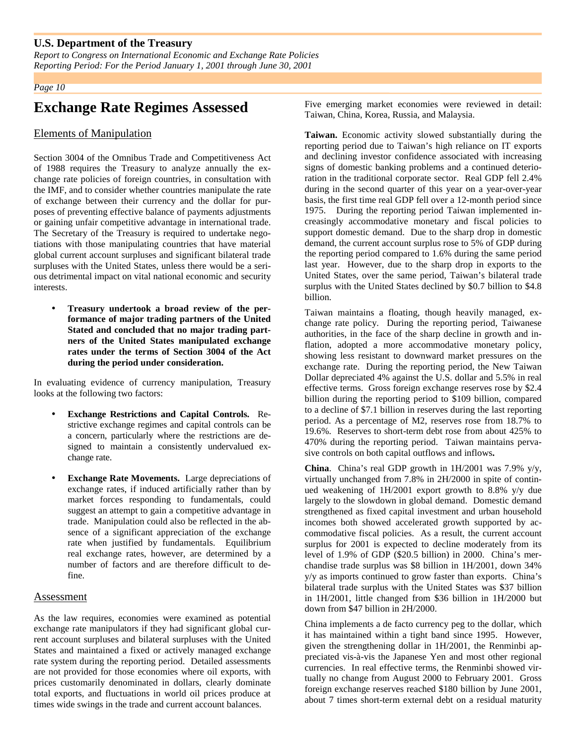*Report to Congress on International Economic and Exchange Rate Policies Reporting Period: For the Period January 1, 2001 through June 30, 2001*

#### *Page 10*

## **Exchange Rate Regimes Assessed**

#### Elements of Manipulation

Section 3004 of the Omnibus Trade and Competitiveness Act of 1988 requires the Treasury to analyze annually the exchange rate policies of foreign countries, in consultation with the IMF, and to consider whether countries manipulate the rate of exchange between their currency and the dollar for purposes of preventing effective balance of payments adjustments or gaining unfair competitive advantage in international trade. The Secretary of the Treasury is required to undertake negotiations with those manipulating countries that have material global current account surpluses and significant bilateral trade surpluses with the United States, unless there would be a serious detrimental impact on vital national economic and security interests.

• **Treasury undertook a broad review of the performance of major trading partners of the United Stated and concluded that no major trading partners of the United States manipulated exchange rates under the terms of Section 3004 of the Act during the period under consideration.**

In evaluating evidence of currency manipulation, Treasury looks at the following two factors:

- **Exchange Restrictions and Capital Controls.** Restrictive exchange regimes and capital controls can be a concern, particularly where the restrictions are designed to maintain a consistently undervalued exchange rate.
- **Exchange Rate Movements.** Large depreciations of exchange rates, if induced artificially rather than by market forces responding to fundamentals, could suggest an attempt to gain a competitive advantage in trade. Manipulation could also be reflected in the absence of a significant appreciation of the exchange rate when justified by fundamentals. Equilibrium real exchange rates, however, are determined by a number of factors and are therefore difficult to define.

#### Assessment

As the law requires, economies were examined as potential exchange rate manipulators if they had significant global current account surpluses and bilateral surpluses with the United States and maintained a fixed or actively managed exchange rate system during the reporting period. Detailed assessments are not provided for those economies where oil exports, with prices customarily denominated in dollars, clearly dominate total exports, and fluctuations in world oil prices produce at times wide swings in the trade and current account balances.

Five emerging market economies were reviewed in detail: Taiwan, China, Korea, Russia, and Malaysia.

**Taiwan.** Economic activity slowed substantially during the reporting period due to Taiwan's high reliance on IT exports and declining investor confidence associated with increasing signs of domestic banking problems and a continued deterioration in the traditional corporate sector. Real GDP fell 2.4% during in the second quarter of this year on a year-over-year basis, the first time real GDP fell over a 12-month period since 1975. During the reporting period Taiwan implemented increasingly accommodative monetary and fiscal policies to support domestic demand. Due to the sharp drop in domestic demand, the current account surplus rose to 5% of GDP during the reporting period compared to 1.6% during the same period last year. However, due to the sharp drop in exports to the United States, over the same period, Taiwan's bilateral trade surplus with the United States declined by \$0.7 billion to \$4.8 billion.

Taiwan maintains a floating, though heavily managed, exchange rate policy. During the reporting period, Taiwanese authorities, in the face of the sharp decline in growth and inflation, adopted a more accommodative monetary policy, showing less resistant to downward market pressures on the exchange rate. During the reporting period, the New Taiwan Dollar depreciated 4% against the U.S. dollar and 5.5% in real effective terms. Gross foreign exchange reserves rose by \$2.4 billion during the reporting period to \$109 billion, compared to a decline of \$7.1 billion in reserves during the last reporting period. As a percentage of M2, reserves rose from 18.7% to 19.6%. Reserves to short-term debt rose from about 425% to 470% during the reporting period. Taiwan maintains pervasive controls on both capital outflows and inflows**.**

**China**. China's real GDP growth in 1H/2001 was 7.9% y/y, virtually unchanged from 7.8% in 2H/2000 in spite of continued weakening of 1H/2001 export growth to 8.8% y/y due largely to the slowdown in global demand. Domestic demand strengthened as fixed capital investment and urban household incomes both showed accelerated growth supported by accommodative fiscal policies. As a result, the current account surplus for 2001 is expected to decline moderately from its level of 1.9% of GDP (\$20.5 billion) in 2000. China's merchandise trade surplus was \$8 billion in 1H/2001, down 34% y/y as imports continued to grow faster than exports. China's bilateral trade surplus with the United States was \$37 billion in 1H/2001, little changed from \$36 billion in 1H/2000 but down from \$47 billion in 2H/2000.

China implements a de facto currency peg to the dollar, which it has maintained within a tight band since 1995. However, given the strengthening dollar in 1H/2001, the Renminbi appreciated vis-à-vis the Japanese Yen and most other regional currencies. In real effective terms, the Renminbi showed virtually no change from August 2000 to February 2001. Gross foreign exchange reserves reached \$180 billion by June 2001, about 7 times short-term external debt on a residual maturity